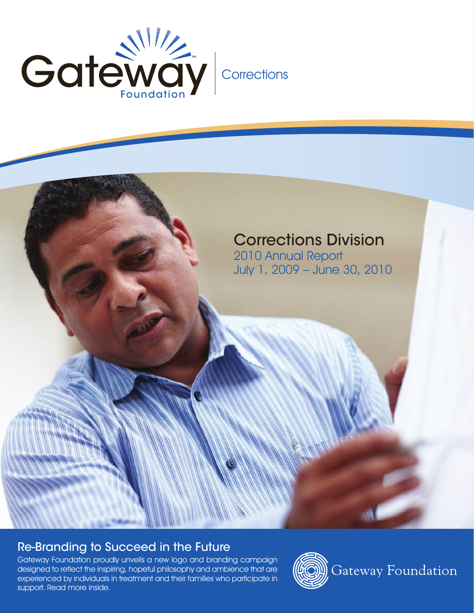

# Corrections Division

2010 Annual Report July 1, 2009 – June 30, 2010

# Re-Branding to Succeed in the Future

Gateway Foundation proudly unveils a new logo and branding campaign designed to reflect the inspiring, hopeful philosophy and ambience that are experienced by individuals in treatment and their families who participate in support. Read more inside.



Gateway Foundation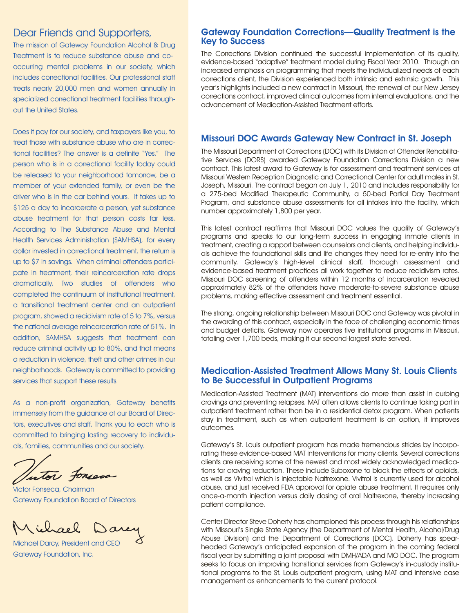The mission of Gateway Foundation Alcohol & Drug Treatment is to reduce substance abuse and cooccurring mental problems in our society, which includes correctional facilities. Our professional staff treats nearly 20,000 men and women annually in specialized correctional treatment facilities throughout the United States.

Does it pay for our society, and taxpayers like you, to treat those with substance abuse who are in correctional facilities? The answer is a definite "Yes." The person who is in a correctional facility today could be released to your neighborhood tomorrow, be a member of your extended family, or even be the driver who is in the car behind yours. It takes up to \$125 a day to incarcerate a person, yet substance abuse treatment for that person costs far less. According to The Substance Abuse and Mental Health Services Administration (SAMHSA), for every dollar invested in correctional treatment, the return is up to \$7 in savings. When criminal offenders participate in treatment, their reincarceration rate drops dramatically. Two studies of offenders who completed the continuum of institutional treatment, a transitional treatment center and an outpatient program, showed a recidivism rate of 5 to 7%, versus the national average reincarceration rate of 51%. In addition, SAMHSA suggests that treatment can reduce criminal activity up to 80%, and that means a reduction in violence, theft and other crimes in our neighborhoods. Gateway is committed to providing services that support these results.

As a non-profit organization, Gateway benefits immensely from the guidance of our Board of Directors, executives and staff. Thank you to each who is committed to bringing lasting recovery to individuals, families, communities and our society.

Intor foreca

Victor Fonseca, Chairman Gateway Foundation Board of Directors

Michael

Michael Darcy, President and CEO Gateway Foundation, Inc.

# Dear Friends and Supporters, **Gateway Foundation Corrections—Quality Treatment is the** Key to Success

The Corrections Division continued the successful implementation of its quality, evidence-based "adaptive" treatment model during Fiscal Year 2010. Through an increased emphasis on programming that meets the individualized needs of each corrections client, the Division experienced both intrinsic and extrinsic growth. This year's highlights included a new contract in Missouri, the renewal of our New Jersey corrections contract, improved clinical outcomes from internal evaluations, and the advancement of Medication-Assisted Treatment efforts.

# Missouri DOC Awards Gateway New Contract in St. Joseph

The Missouri Department of Corrections (DOC) with its Division of Offender Rehabilitative Services (DORS) awarded Gateway Foundation Corrections Division a new contract. This latest award to Gateway is for assessment and treatment services at Missouri Western Reception Diagnostic and Correctional Center for adult males in St. Joseph, Missouri. The contract began on July 1, 2010 and includes responsibility for a 275-bed Modified Therapeutic Community, a 50-bed Partial Day Treatment Program, and substance abuse assessments for all intakes into the facility, which number approximately 1,800 per year.

This latest contract reaffirms that Missouri DOC values the quality of Gateway's programs and speaks to our long-term success in engaging inmate clients in treatment, creating a rapport between counselors and clients, and helping individuals achieve the foundational skills and life changes they need for re-entry into the community. Gateway's high-level clinical staff, thorough assessment and evidence-based treatment practices all work together to reduce recidivism rates. Missouri DOC screening of offenders within 12 months of incarceration revealed approximately 82% of the offenders have moderate-to-severe substance abuse problems, making effective assessment and treatment essential.

The strong, ongoing relationship between Missouri DOC and Gateway was pivotal in the awarding of this contract, especially in the face of challenging economic times and budget deficits. Gateway now operates five institutional programs in Missouri, totaling over 1,700 beds, making it our second-largest state served.

### Medication-Assisted Treatment Allows Many St. Louis Clients to Be Successful in Outpatient Programs

Medication-Assisted Treatment (MAT) interventions do more than assist in curbing cravings and preventing relapses. MAT often allows clients to continue taking part in outpatient treatment rather than be in a residential detox program. When patients stay in treatment, such as when outpatient treatment is an option, it improves outcomes.

Gateway's St. Louis outpatient program has made tremendous strides by incorporating these evidence-based MAT interventions for many clients. Several corrections clients are receiving some of the newest and most widely acknowledged medications for craving reduction. These include Suboxone to block the effects of opioids, as well as Vivitrol which is injectable Naltrexone. Vivitrol is currently used for alcohol abuse, and just received FDA approval for opiate abuse treatment. It requires only once-a-month injection versus daily dosing of oral Naltrexone, thereby increasing patient compliance.

Center Director Steve Doherty has championed this process through his relationships with Missouri's Single State Agency (the Department of Mental Health, Alcohol/Drug Abuse Division) and the Department of Corrections (DOC). Doherty has spearheaded Gateway's anticipated expansion of the program in the coming federal fiscal year by submitting a joint proposal with DMH/ADA and MO DOC. The program seeks to focus on improving transitional services from Gateway's in-custody institutional programs to the St. Louis outpatient program, using MAT and intensive case management as enhancements to the current protocol.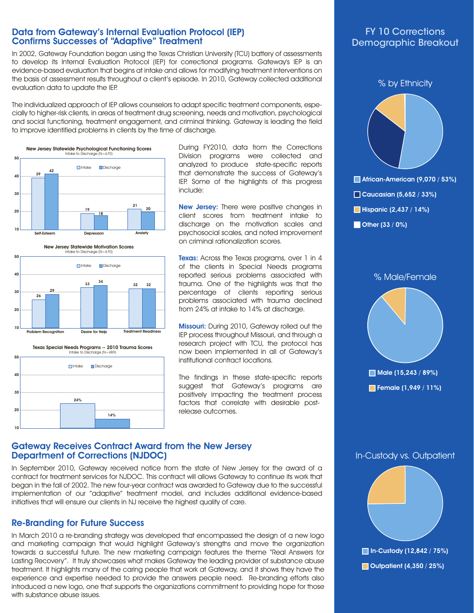# Data from Gateway's Internal Evaluation Protocol (IEP) Confirms Successes of "Adaptive" Treatment

In 2002, Gateway Foundation began using the Texas Christian University (TCU) battery of assessments to develop its Internal Evaluation Protocol (IEP) for correctional programs. Gateway's IEP is an evidence-based evaluation that begins at intake and allows for modifying treatment interventions on the basis of assessment results throughout a client's episode. In 2010, Gateway collected additional evaluation data to update the IEP.

The individualized approach of IEP allows counselors to adapt specific treatment components, especially to higher-risk clients, in areas of treatment drug screening, needs and motivation, psychological and social functioning, treatment engagement, and criminal thinking. Gateway is leading the field to improve identified problems in clients by the time of discharge.









During FY2010, data from the Corrections Division programs were collected and analyzed to produce state-specific reports that demonstrate the success of Gateway's IEP. Some of the highlights of this progress include:

New Jersey: There were positive changes in client scores from treatment intake to discharge on the motivation scales and psychosocial scales, and noted improvement on criminal rationalization scores.

**Texas:** Across the Texas programs, over 1 in 4 of the clients in Special Needs programs reported serious problems associated with trauma. One of the highlights was that the percentage of clients reporting serious problems associated with trauma declined from 24% at intake to 14% at discharge.

Missouri: During 2010, Gateway rolled out the IEP process throughout Missouri, and through a research project with TCU, the protocol has now been implemented in all of Gateway's institutional contract locations.

The findings in these state-specific reports suggest that Gateway's programs are positively impacting the treatment process factors that correlate with desirable postrelease outcomes.

# FY 10 Corrections Demographic Breakout





# Gateway Receives Contract Award from the New Jersey Department of Corrections (NJDOC)

In September 2010, Gateway received notice from the state of New Jersey for the award of a contract for treatment services for NJDOC. This contract will allows Gateway to continue its work that began in the fall of 2002. The new four-year contract was awarded to Gateway due to the successful implementation of our "adaptive" treatment model, and includes additional evidence-based initiatives that will ensure our clients in NJ receive the highest quality of care.

# Re-Branding for Future Success

In March 2010 a re-branding strategy was developed that encompassed the design of a new logo and marketing campaign that would highlight Gateway's strengths and move the organization towards a successful future. The new marketing campaign features the theme "Real Answers for Lasting Recovery". It truly showcases what makes Gateway the leading provider of substance abuse treatment. It highlights many of the caring people that work at Gateway, and it shows they have the experience and expertise needed to provide the answers people need. Re-branding efforts also introduced a new logo, one that supports the organizations commitment to providing hope for those with substance abuse issues.

# In-Custody vs. Outpatient